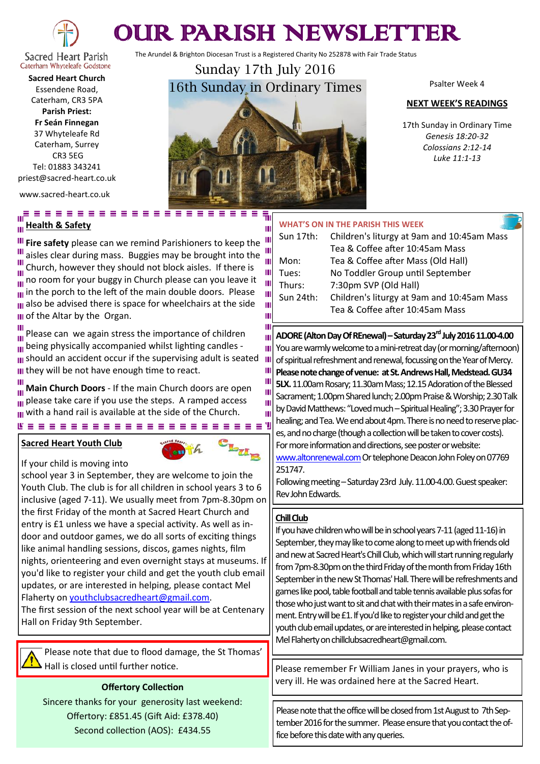

# OUR PARISH NEWSLETTER

The Arundel & Brighton Diocesan Trust is a Registered Charity No 252878 with Fair Trade Status

Caterham Whyteleafe Godstone **Sacred Heart Church** Essendene Road, Caterham, CR3 5PA **Parish Priest: Fr Seán Finnegan** 37 Whyteleafe Rd Caterham, Surrey CR3 5EG

Tel: 01883 343241 priest@sacred-heart.co.uk

www.sacred-heart.co.uk

## <u> "Feessessesse</u>" **Health & Safety**

**III Fire safety** please can we remind Parishioners to keep the III **If** aisles clear during mass. Buggies may be brought into the  $\frac{10}{10}$ Church, however they should not block aisles. If there is  $\dddot{a}$  no room for your buggy in Church please can you leave it  $\frac{1}{10}$  in the porch to the left of the main double doors. Please **III** also be advised there is space for wheelchairs at the side **III** of the Altar by the Organ.

Ξ

Please can we again stress the importance of children Ш  $\overline{u}$  being physically accompanied whilst lighting candles -III should an accident occur if the supervising adult is seated III they will be not have enough time to react.

**Main Church Doors** - If the main Church doors are open  $\frac{1}{10}$  please take care if you use the steps. A ramped access with a hand rail is available at the side of the Church.

## **Sacred Heart Youth Club**

If your child is moving into



school year 3 in September, they are welcome to join the Youth Club. The club is for all children in school years 3 to 6 inclusive (aged 7-11). We usually meet from 7pm-8.30pm on the first Friday of the month at Sacred Heart Church and entry is £1 unless we have a special activity. As well as indoor and outdoor games, we do all sorts of exciting things like animal handling sessions, discos, games nights, film nights, orienteering and even overnight stays at museums. If you'd like to register your child and get the youth club email updates, or are interested in helping, please contact Mel Flaherty on [youthclubsacredheart@gmail.com.](mailto:youthclubsacredheart@gmail.com) 

The first session of the next school year will be at Centenary Hall on Friday 9th September.

Please note that due to flood damage, the St Thomas'

## **Offertory Collection**

Sincere thanks for your generosity last weekend: Offertory: £851.45 (Gift Aid: £378.40) Second collection (AOS): £434.55

Sunday 17th July 2016 16th Sunday in Ordinary Times

> 룪  $\mathbf{u}$

> > п m

Ш Ш T  $\mathbf{u}$ Т T π

Psalter Week 4

#### **NEXT WEEK'S READINGS**

17th Sunday in Ordinary Time *Genesis 18:20-32 Colossians 2:12-14 Luke 11:1-13*

#### **WHAT'S ON IN THE PARISH THIS WEEK**

| Ш |           |                                            |
|---|-----------|--------------------------------------------|
| Ш | Sun 17th: | Children's liturgy at 9am and 10:45am Mass |
| Ш |           | Tea & Coffee after 10:45am Mass            |
|   | Mon:      | Tea & Coffee after Mass (Old Hall)         |
| Ш | Tues:     | No Toddler Group until September           |
|   | Thurs:    | 7:30pm SVP (Old Hall)                      |
| Ш | Sun 24th: | Children's liturgy at 9am and 10:45am Mass |
| Ш |           | Tea & Coffee after 10:45am Mass            |
|   |           |                                            |

**ADORE (Alton Day Of REnewal)–Saturday 23rd July 2016 11.00-4.00** You are warmly welcome to a mini-retreat day (or morning/afternoon) of spiritual refreshment and renewal, focussing on the Year of Mercy. **Please note change of venue: at St. Andrews Hall, Medstead. GU34 5LX.** 11.00am Rosary; 11.30am Mass; 12.15 Adoration of the Blessed Sacrament; 1.00pm Shared lunch; 2.00pm Praise & Worship; 2.30 Talk by David Matthews: "Loved much –Spiritual Healing"; 3.30 Prayer for healing; and Tea. We end about 4pm. There is no need to reserve places, and no charge (though a collection will be taken to cover costs). For more information and directions, see poster or website: [www.altonrenewal.com](http://www.altonrenewal.com)Or telephone Deacon John Foley on 07769 251747.

Following meeting – Saturday 23rd July. 11.00-4.00. Guest speaker: Rev John Edwards.

## **Chill Club**

If you have children who will be in school years 7-11 (aged 11-16) in September, they may like to come along to meet up with friends old and new at Sacred Heart's Chill Club, which will start running regularly from 7pm-8.30pm on the third Friday of the month from Friday 16th September in the new St Thomas' Hall. There will be refreshments and games like pool, table football and table tennis available plus sofas for those who just want to sit and chat with their mates in a safe environment. Entry will be £1.If you'd like to register your child and get the youth club email updates, or are interested in helping, please contact Mel Flaherty on chillclubsacredheart@gmail.com.

Hall is closed until further notice.  $\blacksquare$  Please remember Fr William Janes in your prayers, who is very ill. He was ordained here at the Sacred Heart.

> Please note that the office will be closed from 1st August to 7th September 2016 for the summer. Please ensure that you contact the office before this date with any queries.